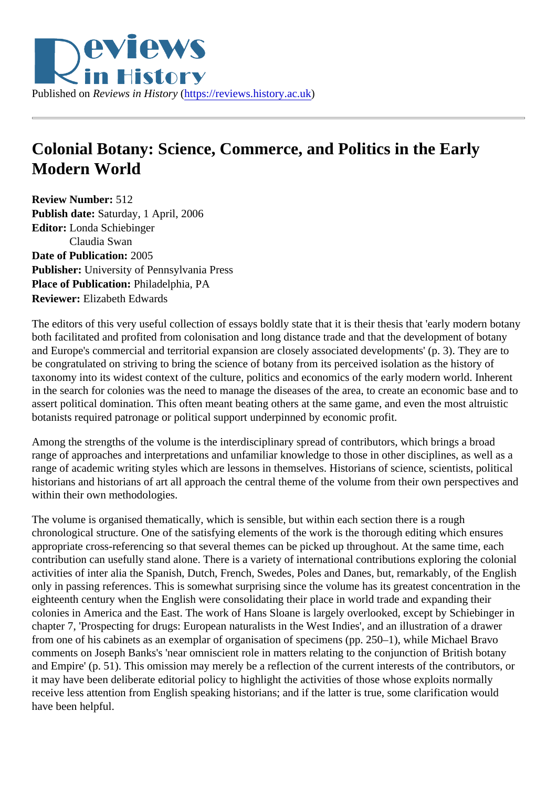## Colonial Botany: Science, Commerce, and Politics in the Early Modern World

Review Number: 512 Publish date: Saturday, 1 April, 2006 Editor: Londa Schiebinger Claudia Swan Date of Publication: 2005 Publisher: University of Pennsylvania Press Place of Publication: Philadelphia, PA Reviewer: Elizabeth Edwards

The editors of this very useful collection of essays boldly state that it is their thesis that 'early modern bota both facilitated and profited from colonisation and long distance trade and that the development of botany and Europe's commercial and territorial expansion are closely associated developments' (p. 3). They are t be congratulated on striving to bring the science of botany from its perceived isolation as the history of taxonomy into its widest context of the culture, politics and economics of the early modern world. Inherent in the search for colonies was the need to manage the diseases of the area, to create an economic base an assert political domination. This often meant beating others at the same game, and even the most altruisti botanists required patronage or political support underpinned by economic profit.

Among the strengths of the volume is the interdisciplinary spread of contributors, which brings a broad range of approaches and interpretations and unfamiliar knowledge to those in other disciplines, as well as range of academic writing styles which are lessons in themselves. Historians of science, scientists, political historians and historians of art all approach the central theme of the volume from their own perspectives a within their own methodologies.

The volume is organised thematically, which is sensible, but within each section there is a rough chronological structure. One of the satisfying elements of the work is the thorough editing which ensures appropriate cross-referencing so that several themes can be picked up throughout. At the same time, each contribution can usefully stand alone. There is a variety of international contributions exploring the colonia activities of inter alia the Spanish, Dutch, French, Swedes, Poles and Danes, but, remarkably, of the Engli only in passing references. This is somewhat surprising since the volume has its greatest concentration in eighteenth century when the English were consolidating their place in world trade and expanding their colonies in America and the East. The work of Hans Sloane is largely overlooked, except by Schiebinger i chapter 7, 'Prospecting for drugs: European naturalists in the West Indies', and an illustration of a drawer from one of his cabinets as an exemplar of organisation of specimens (pp. 250–1), while Michael Bravo comments on Joseph Banks's 'near omniscient role in matters relating to the conjunction of British botany and Empire' (p. 51). This omission may merely be a reflection of the current interests of the contributors, or it may have been deliberate editorial policy to highlight the activities of those whose exploits normally receive less attention from English speaking historians; and if the latter is true, some clarification would have been helpful.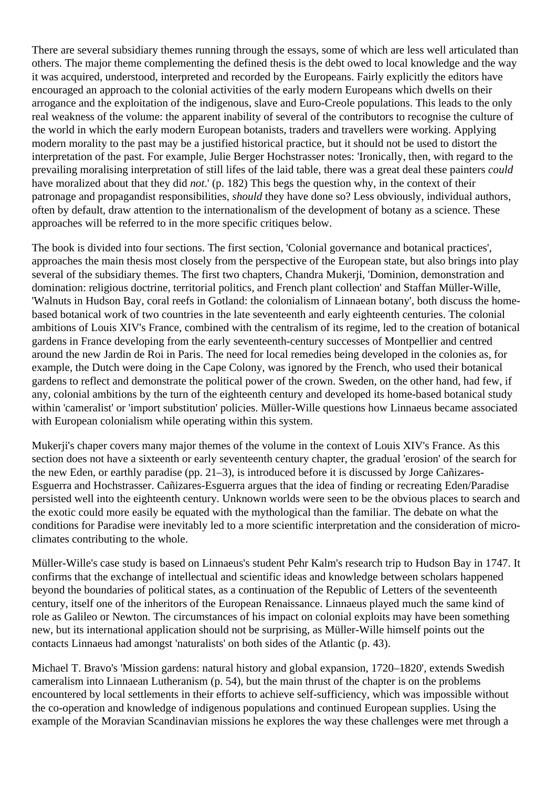There are several subsidiary themes running through the essays, some of which are less well articulated than others. The major theme complementing the defined thesis is the debt owed to local knowledge and the way it was acquired, understood, interpreted and recorded by the Europeans. Fairly explicitly the editors have encouraged an approach to the colonial activities of the early modern Europeans which dwells on their arrogance and the exploitation of the indigenous, slave and Euro-Creole populations. This leads to the only real weakness of the volume: the apparent inability of several of the contributors to recognise the culture of the world in which the early modern European botanists, traders and travellers were working. Applying modern morality to the past may be a justified historical practice, but it should not be used to distort the interpretation of the past. For example, Julie Berger Hochstrasser notes: 'Ironically, then, with regard to the prevailing moralising interpretation of still lifes of the laid table, there was a great deal these painters *could* have moralized about that they did *not*.' (p. 182) This begs the question why, in the context of their patronage and propagandist responsibilities, *should* they have done so? Less obviously, individual authors, often by default, draw attention to the internationalism of the development of botany as a science. These approaches will be referred to in the more specific critiques below.

The book is divided into four sections. The first section, 'Colonial governance and botanical practices', approaches the main thesis most closely from the perspective of the European state, but also brings into play several of the subsidiary themes. The first two chapters, Chandra Mukerji, 'Dominion, demonstration and domination: religious doctrine, territorial politics, and French plant collection' and Staffan Müller-Wille, 'Walnuts in Hudson Bay, coral reefs in Gotland: the colonialism of Linnaean botany', both discuss the homebased botanical work of two countries in the late seventeenth and early eighteenth centuries. The colonial ambitions of Louis XIV's France, combined with the centralism of its regime, led to the creation of botanical gardens in France developing from the early seventeenth-century successes of Montpellier and centred around the new Jardin de Roi in Paris. The need for local remedies being developed in the colonies as, for example, the Dutch were doing in the Cape Colony, was ignored by the French, who used their botanical gardens to reflect and demonstrate the political power of the crown. Sweden, on the other hand, had few, if any, colonial ambitions by the turn of the eighteenth century and developed its home-based botanical study within 'cameralist' or 'import substitution' policies. Müller-Wille questions how Linnaeus became associated with European colonialism while operating within this system.

Mukerji's chaper covers many major themes of the volume in the context of Louis XIV's France. As this section does not have a sixteenth or early seventeenth century chapter, the gradual 'erosion' of the search for the new Eden, or earthly paradise (pp. 21–3), is introduced before it is discussed by Jorge Cañizares-Esguerra and Hochstrasser. Cañizares-Esguerra argues that the idea of finding or recreating Eden/Paradise persisted well into the eighteenth century. Unknown worlds were seen to be the obvious places to search and the exotic could more easily be equated with the mythological than the familiar. The debate on what the conditions for Paradise were inevitably led to a more scientific interpretation and the consideration of microclimates contributing to the whole.

Müller-Wille's case study is based on Linnaeus's student Pehr Kalm's research trip to Hudson Bay in 1747. It confirms that the exchange of intellectual and scientific ideas and knowledge between scholars happened beyond the boundaries of political states, as a continuation of the Republic of Letters of the seventeenth century, itself one of the inheritors of the European Renaissance. Linnaeus played much the same kind of role as Galileo or Newton. The circumstances of his impact on colonial exploits may have been something new, but its international application should not be surprising, as Müller-Wille himself points out the contacts Linnaeus had amongst 'naturalists' on both sides of the Atlantic (p. 43).

Michael T. Bravo's 'Mission gardens: natural history and global expansion, 1720–1820', extends Swedish cameralism into Linnaean Lutheranism (p. 54), but the main thrust of the chapter is on the problems encountered by local settlements in their efforts to achieve self-sufficiency, which was impossible without the co-operation and knowledge of indigenous populations and continued European supplies. Using the example of the Moravian Scandinavian missions he explores the way these challenges were met through a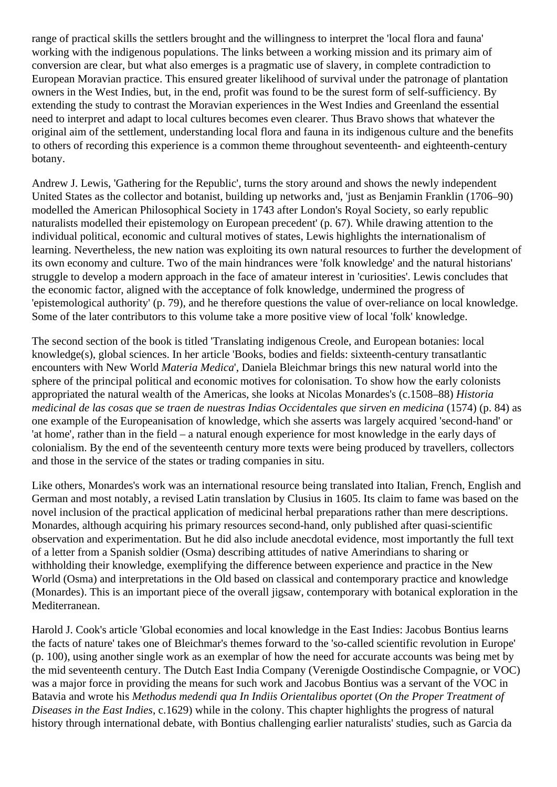range of practical skills the settlers brought and the willingness to interpret the 'local flora and fauna' working with the indigenous populations. The links between a working mission and its primary aim of conversion are clear, but what also emerges is a pragmatic use of slavery, in complete contradiction to European Moravian practice. This ensured greater likelihood of survival under the patronage of plantation owners in the West Indies, but, in the end, profit was found to be the surest form of self-sufficiency. By extending the study to contrast the Moravian experiences in the West Indies and Greenland the essential need to interpret and adapt to local cultures becomes even clearer. Thus Bravo shows that whatever the original aim of the settlement, understanding local flora and fauna in its indigenous culture and the benefits to others of recording this experience is a common theme throughout seventeenth- and eighteenth-century botany.

Andrew J. Lewis, 'Gathering for the Republic', turns the story around and shows the newly independent United States as the collector and botanist, building up networks and, 'just as Benjamin Franklin (1706–90) modelled the American Philosophical Society in 1743 after London's Royal Society, so early republic naturalists modelled their epistemology on European precedent' (p. 67). While drawing attention to the individual political, economic and cultural motives of states, Lewis highlights the internationalism of learning. Nevertheless, the new nation was exploiting its own natural resources to further the development of its own economy and culture. Two of the main hindrances were 'folk knowledge' and the natural historians' struggle to develop a modern approach in the face of amateur interest in 'curiosities'. Lewis concludes that the economic factor, aligned with the acceptance of folk knowledge, undermined the progress of 'epistemological authority' (p. 79), and he therefore questions the value of over-reliance on local knowledge. Some of the later contributors to this volume take a more positive view of local 'folk' knowledge.

The second section of the book is titled 'Translating indigenous Creole, and European botanies: local knowledge(s), global sciences. In her article 'Books, bodies and fields: sixteenth-century transatlantic encounters with New World *Materia Medica*', Daniela Bleichmar brings this new natural world into the sphere of the principal political and economic motives for colonisation. To show how the early colonists appropriated the natural wealth of the Americas, she looks at Nicolas Monardes's (c.1508–88) *Historia medicinal de las cosas que se traen de nuestras Indias Occidentales que sirven en medicina* (1574) (p. 84) as one example of the Europeanisation of knowledge, which she asserts was largely acquired 'second-hand' or 'at home', rather than in the field – a natural enough experience for most knowledge in the early days of colonialism. By the end of the seventeenth century more texts were being produced by travellers, collectors and those in the service of the states or trading companies in situ.

Like others, Monardes's work was an international resource being translated into Italian, French, English and German and most notably, a revised Latin translation by Clusius in 1605. Its claim to fame was based on the novel inclusion of the practical application of medicinal herbal preparations rather than mere descriptions. Monardes, although acquiring his primary resources second-hand, only published after quasi-scientific observation and experimentation. But he did also include anecdotal evidence, most importantly the full text of a letter from a Spanish soldier (Osma) describing attitudes of native Amerindians to sharing or withholding their knowledge, exemplifying the difference between experience and practice in the New World (Osma) and interpretations in the Old based on classical and contemporary practice and knowledge (Monardes). This is an important piece of the overall jigsaw, contemporary with botanical exploration in the Mediterranean.

Harold J. Cook's article 'Global economies and local knowledge in the East Indies: Jacobus Bontius learns the facts of nature' takes one of Bleichmar's themes forward to the 'so-called scientific revolution in Europe' (p. 100), using another single work as an exemplar of how the need for accurate accounts was being met by the mid seventeenth century. The Dutch East India Company (Verenigde Oostindische Compagnie, or VOC) was a major force in providing the means for such work and Jacobus Bontius was a servant of the VOC in Batavia and wrote his *Methodus medendi qua In Indiis Orientalibus oportet* (*On the Proper Treatment of Diseases in the East Indies*, c.1629) while in the colony. This chapter highlights the progress of natural history through international debate, with Bontius challenging earlier naturalists' studies, such as Garcia da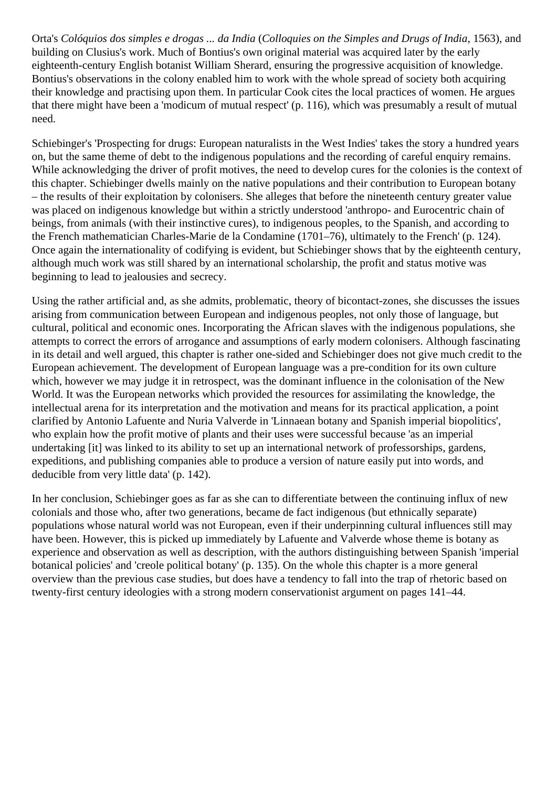Orta's *Colóquios dos simples e drogas ... da India* (*Colloquies on the Simples and Drugs of India*, 1563), and building on Clusius's work. Much of Bontius's own original material was acquired later by the early eighteenth-century English botanist William Sherard, ensuring the progressive acquisition of knowledge. Bontius's observations in the colony enabled him to work with the whole spread of society both acquiring their knowledge and practising upon them. In particular Cook cites the local practices of women. He argues that there might have been a 'modicum of mutual respect' (p. 116), which was presumably a result of mutual need.

Schiebinger's 'Prospecting for drugs: European naturalists in the West Indies' takes the story a hundred years on, but the same theme of debt to the indigenous populations and the recording of careful enquiry remains. While acknowledging the driver of profit motives, the need to develop cures for the colonies is the context of this chapter. Schiebinger dwells mainly on the native populations and their contribution to European botany – the results of their exploitation by colonisers. She alleges that before the nineteenth century greater value was placed on indigenous knowledge but within a strictly understood 'anthropo- and Eurocentric chain of beings, from animals (with their instinctive cures), to indigenous peoples, to the Spanish, and according to the French mathematician Charles-Marie de la Condamine (1701–76), ultimately to the French' (p. 124). Once again the internationality of codifying is evident, but Schiebinger shows that by the eighteenth century, although much work was still shared by an international scholarship, the profit and status motive was beginning to lead to jealousies and secrecy.

Using the rather artificial and, as she admits, problematic, theory of bicontact-zones, she discusses the issues arising from communication between European and indigenous peoples, not only those of language, but cultural, political and economic ones. Incorporating the African slaves with the indigenous populations, she attempts to correct the errors of arrogance and assumptions of early modern colonisers. Although fascinating in its detail and well argued, this chapter is rather one-sided and Schiebinger does not give much credit to the European achievement. The development of European language was a pre-condition for its own culture which, however we may judge it in retrospect, was the dominant influence in the colonisation of the New World. It was the European networks which provided the resources for assimilating the knowledge, the intellectual arena for its interpretation and the motivation and means for its practical application, a point clarified by Antonio Lafuente and Nuria Valverde in 'Linnaean botany and Spanish imperial biopolitics', who explain how the profit motive of plants and their uses were successful because 'as an imperial undertaking [it] was linked to its ability to set up an international network of professorships, gardens, expeditions, and publishing companies able to produce a version of nature easily put into words, and deducible from very little data' (p. 142).

In her conclusion, Schiebinger goes as far as she can to differentiate between the continuing influx of new colonials and those who, after two generations, became de fact indigenous (but ethnically separate) populations whose natural world was not European, even if their underpinning cultural influences still may have been. However, this is picked up immediately by Lafuente and Valverde whose theme is botany as experience and observation as well as description, with the authors distinguishing between Spanish 'imperial botanical policies' and 'creole political botany' (p. 135). On the whole this chapter is a more general overview than the previous case studies, but does have a tendency to fall into the trap of rhetoric based on twenty-first century ideologies with a strong modern conservationist argument on pages 141–44.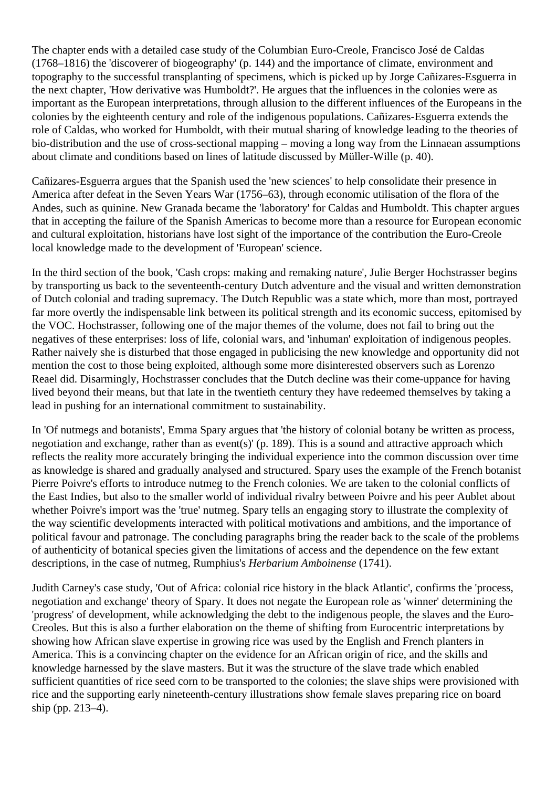The chapter ends with a detailed case study of the Columbian Euro-Creole, Francisco José de Caldas (1768–1816) the 'discoverer of biogeography' (p. 144) and the importance of climate, environment and topography to the successful transplanting of specimens, which is picked up by Jorge Cañizares-Esguerra in the next chapter, 'How derivative was Humboldt?'. He argues that the influences in the colonies were as important as the European interpretations, through allusion to the different influences of the Europeans in the colonies by the eighteenth century and role of the indigenous populations. Cañizares-Esguerra extends the role of Caldas, who worked for Humboldt, with their mutual sharing of knowledge leading to the theories of bio-distribution and the use of cross-sectional mapping – moving a long way from the Linnaean assumptions about climate and conditions based on lines of latitude discussed by Müller-Wille (p. 40).

Cañizares-Esguerra argues that the Spanish used the 'new sciences' to help consolidate their presence in America after defeat in the Seven Years War (1756–63), through economic utilisation of the flora of the Andes, such as quinine. New Granada became the 'laboratory' for Caldas and Humboldt. This chapter argues that in accepting the failure of the Spanish Americas to become more than a resource for European economic and cultural exploitation, historians have lost sight of the importance of the contribution the Euro-Creole local knowledge made to the development of 'European' science.

In the third section of the book, 'Cash crops: making and remaking nature', Julie Berger Hochstrasser begins by transporting us back to the seventeenth-century Dutch adventure and the visual and written demonstration of Dutch colonial and trading supremacy. The Dutch Republic was a state which, more than most, portrayed far more overtly the indispensable link between its political strength and its economic success, epitomised by the VOC. Hochstrasser, following one of the major themes of the volume, does not fail to bring out the negatives of these enterprises: loss of life, colonial wars, and 'inhuman' exploitation of indigenous peoples. Rather naively she is disturbed that those engaged in publicising the new knowledge and opportunity did not mention the cost to those being exploited, although some more disinterested observers such as Lorenzo Reael did. Disarmingly, Hochstrasser concludes that the Dutch decline was their come-uppance for having lived beyond their means, but that late in the twentieth century they have redeemed themselves by taking a lead in pushing for an international commitment to sustainability.

In 'Of nutmegs and botanists', Emma Spary argues that 'the history of colonial botany be written as process, negotiation and exchange, rather than as event(s)' (p. 189). This is a sound and attractive approach which reflects the reality more accurately bringing the individual experience into the common discussion over time as knowledge is shared and gradually analysed and structured. Spary uses the example of the French botanist Pierre Poivre's efforts to introduce nutmeg to the French colonies. We are taken to the colonial conflicts of the East Indies, but also to the smaller world of individual rivalry between Poivre and his peer Aublet about whether Poivre's import was the 'true' nutmeg. Spary tells an engaging story to illustrate the complexity of the way scientific developments interacted with political motivations and ambitions, and the importance of political favour and patronage. The concluding paragraphs bring the reader back to the scale of the problems of authenticity of botanical species given the limitations of access and the dependence on the few extant descriptions, in the case of nutmeg, Rumphius's *Herbarium Amboinense* (1741).

Judith Carney's case study, 'Out of Africa: colonial rice history in the black Atlantic', confirms the 'process, negotiation and exchange' theory of Spary. It does not negate the European role as 'winner' determining the 'progress' of development, while acknowledging the debt to the indigenous people, the slaves and the Euro-Creoles. But this is also a further elaboration on the theme of shifting from Eurocentric interpretations by showing how African slave expertise in growing rice was used by the English and French planters in America. This is a convincing chapter on the evidence for an African origin of rice, and the skills and knowledge harnessed by the slave masters. But it was the structure of the slave trade which enabled sufficient quantities of rice seed corn to be transported to the colonies; the slave ships were provisioned with rice and the supporting early nineteenth-century illustrations show female slaves preparing rice on board ship (pp. 213–4).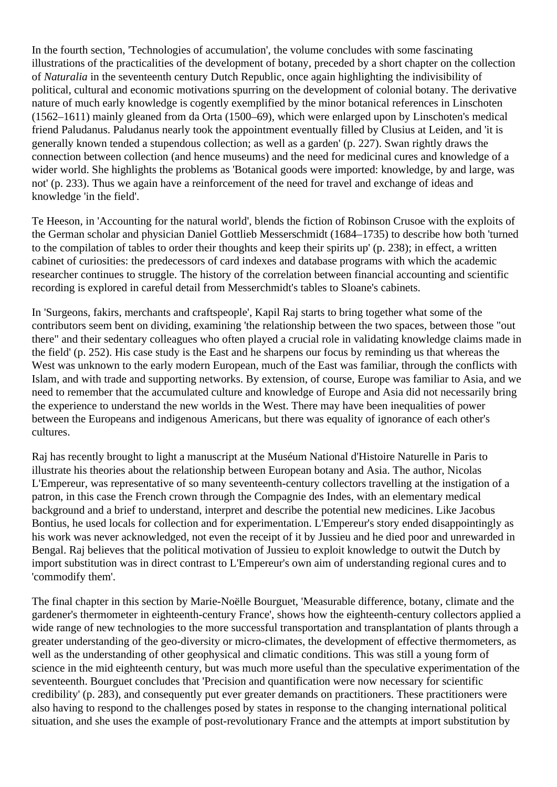In the fourth section, 'Technologies of accumulation', the volume concludes with some fascinating illustrations of the practicalities of the development of botany, preceded by a short chapter on the collection of *Naturalia* in the seventeenth century Dutch Republic, once again highlighting the indivisibility of political, cultural and economic motivations spurring on the development of colonial botany. The derivative nature of much early knowledge is cogently exemplified by the minor botanical references in Linschoten (1562–1611) mainly gleaned from da Orta (1500–69), which were enlarged upon by Linschoten's medical friend Paludanus. Paludanus nearly took the appointment eventually filled by Clusius at Leiden, and 'it is generally known tended a stupendous collection; as well as a garden' (p. 227). Swan rightly draws the connection between collection (and hence museums) and the need for medicinal cures and knowledge of a wider world. She highlights the problems as 'Botanical goods were imported: knowledge, by and large, was not' (p. 233). Thus we again have a reinforcement of the need for travel and exchange of ideas and knowledge 'in the field'.

Te Heeson, in 'Accounting for the natural world', blends the fiction of Robinson Crusoe with the exploits of the German scholar and physician Daniel Gottlieb Messerschmidt (1684–1735) to describe how both 'turned to the compilation of tables to order their thoughts and keep their spirits up' (p. 238); in effect, a written cabinet of curiosities: the predecessors of card indexes and database programs with which the academic researcher continues to struggle. The history of the correlation between financial accounting and scientific recording is explored in careful detail from Messerchmidt's tables to Sloane's cabinets.

In 'Surgeons, fakirs, merchants and craftspeople', Kapil Raj starts to bring together what some of the contributors seem bent on dividing, examining 'the relationship between the two spaces, between those "out there" and their sedentary colleagues who often played a crucial role in validating knowledge claims made in the field' (p. 252). His case study is the East and he sharpens our focus by reminding us that whereas the West was unknown to the early modern European, much of the East was familiar, through the conflicts with Islam, and with trade and supporting networks. By extension, of course, Europe was familiar to Asia, and we need to remember that the accumulated culture and knowledge of Europe and Asia did not necessarily bring the experience to understand the new worlds in the West. There may have been inequalities of power between the Europeans and indigenous Americans, but there was equality of ignorance of each other's cultures.

Raj has recently brought to light a manuscript at the Muséum National d'Histoire Naturelle in Paris to illustrate his theories about the relationship between European botany and Asia. The author, Nicolas L'Empereur, was representative of so many seventeenth-century collectors travelling at the instigation of a patron, in this case the French crown through the Compagnie des Indes, with an elementary medical background and a brief to understand, interpret and describe the potential new medicines. Like Jacobus Bontius, he used locals for collection and for experimentation. L'Empereur's story ended disappointingly as his work was never acknowledged, not even the receipt of it by Jussieu and he died poor and unrewarded in Bengal. Raj believes that the political motivation of Jussieu to exploit knowledge to outwit the Dutch by import substitution was in direct contrast to L'Empereur's own aim of understanding regional cures and to 'commodify them'.

The final chapter in this section by Marie-Noëlle Bourguet, 'Measurable difference, botany, climate and the gardener's thermometer in eighteenth-century France', shows how the eighteenth-century collectors applied a wide range of new technologies to the more successful transportation and transplantation of plants through a greater understanding of the geo-diversity or micro-climates, the development of effective thermometers, as well as the understanding of other geophysical and climatic conditions. This was still a young form of science in the mid eighteenth century, but was much more useful than the speculative experimentation of the seventeenth. Bourguet concludes that 'Precision and quantification were now necessary for scientific credibility' (p. 283), and consequently put ever greater demands on practitioners. These practitioners were also having to respond to the challenges posed by states in response to the changing international political situation, and she uses the example of post-revolutionary France and the attempts at import substitution by